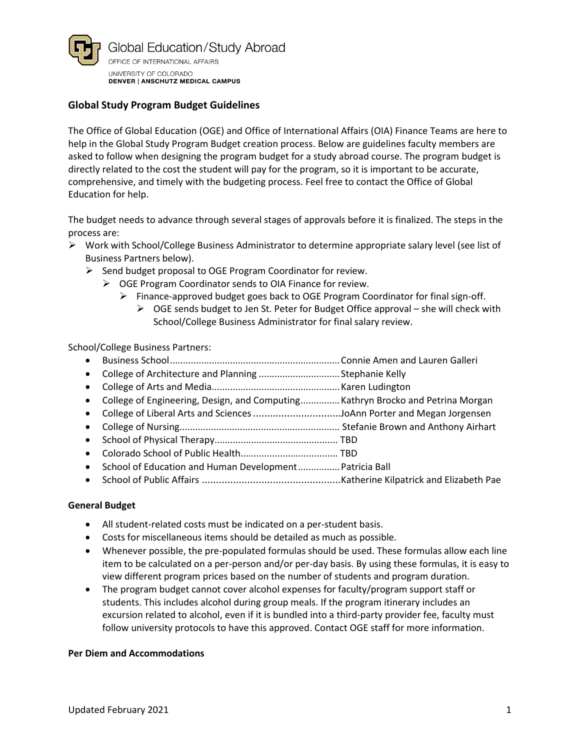

## **Global Study Program Budget Guidelines**

The Office of Global Education (OGE) and Office of International Affairs (OIA) Finance Teams are here to help in the Global Study Program Budget creation process. Below are guidelines faculty members are asked to follow when designing the program budget for a study abroad course. The program budget is directly related to the cost the student will pay for the program, so it is important to be accurate, comprehensive, and timely with the budgeting process. Feel free to contact the Office of Global Education for help.

The budget needs to advance through several stages of approvals before it is finalized. The steps in the process are:

- ➢ Work with School/College Business Administrator to determine appropriate salary level (see list of Business Partners below).
	- ➢ Send budget proposal to OGE Program Coordinator for review.
		- ➢ OGE Program Coordinator sends to OIA Finance for review.
			- ➢ Finance-approved budget goes back to OGE Program Coordinator for final sign-off.  $\triangleright$  OGE sends budget to Jen St. Peter for Budget Office approval – she will check with School/College Business Administrator for final salary review.

School/College Business Partners:

- Business School.................................................................Connie Amen and Lauren Galleri
- College of Architecture and Planning ...............................Stephanie Kelly
- College of Arts and Media.................................................Karen Ludington
- College of Engineering, Design, and Computing...............Kathryn Brocko and Petrina Morgan
- College of Liberal Arts and Sciences...............................JoAnn Porter and Megan Jorgensen
- College of Nursing............................................................. Stefanie Brown and Anthony Airhart
- School of Physical Therapy............................................... TBD
- Colorado School of Public Health..................................... TBD
- School of Education and Human Development................Patricia Ball
- School of Public Affairs .................................................Katherine Kilpatrick and Elizabeth Pae

### **General Budget**

- All student-related costs must be indicated on a per-student basis.
- Costs for miscellaneous items should be detailed as much as possible.
- Whenever possible, the pre-populated formulas should be used. These formulas allow each line item to be calculated on a per-person and/or per-day basis. By using these formulas, it is easy to view different program prices based on the number of students and program duration.
- The program budget cannot cover alcohol expenses for faculty/program support staff or students. This includes alcohol during group meals. If the program itinerary includes an excursion related to alcohol, even if it is bundled into a third-party provider fee, faculty must follow university protocols to have this approved. Contact OGE staff for more information.

### **Per Diem and Accommodations**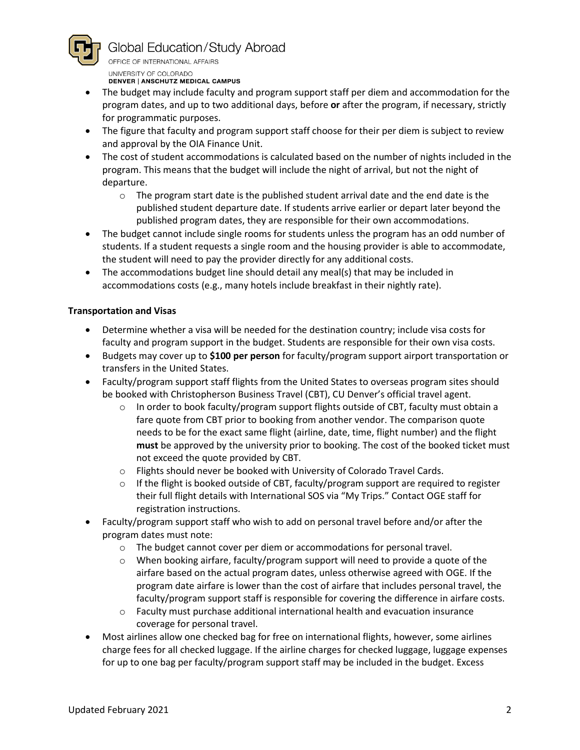

Global Education/Study Abroad

OFFICE OF INTERNATIONAL AFFAIRS UNIVERSITY OF COLORADO

DENVER | ANSCHUTZ MEDICAL CAMPUS

- The budget may include faculty and program support staff per diem and accommodation for the program dates, and up to two additional days, before **or** after the program, if necessary, strictly for programmatic purposes.
- The figure that faculty and program support staff choose for their per diem is subject to review and approval by the OIA Finance Unit.
- The cost of student accommodations is calculated based on the number of nights included in the program. This means that the budget will include the night of arrival, but not the night of departure.
	- $\circ$  The program start date is the published student arrival date and the end date is the published student departure date. If students arrive earlier or depart later beyond the published program dates, they are responsible for their own accommodations.
- The budget cannot include single rooms for students unless the program has an odd number of students. If a student requests a single room and the housing provider is able to accommodate, the student will need to pay the provider directly for any additional costs.
- The accommodations budget line should detail any meal(s) that may be included in accommodations costs (e.g., many hotels include breakfast in their nightly rate).

# **Transportation and Visas**

- Determine whether a visa will be needed for the destination country; include visa costs for faculty and program support in the budget. Students are responsible for their own visa costs.
- Budgets may cover up to **\$100 per person** for faculty/program support airport transportation or transfers in the United States.
- Faculty/program support staff flights from the United States to overseas program sites should be booked with Christopherson Business Travel (CBT), CU Denver's official travel agent.
	- $\circ$  In order to book faculty/program support flights outside of CBT, faculty must obtain a fare quote from CBT prior to booking from another vendor. The comparison quote needs to be for the exact same flight (airline, date, time, flight number) and the flight **must** be approved by the university prior to booking. The cost of the booked ticket must not exceed the quote provided by CBT.
	- o Flights should never be booked with University of Colorado Travel Cards.
	- $\circ$  If the flight is booked outside of CBT, faculty/program support are required to register their full flight details with International SOS via "My Trips." Contact OGE staff for registration instructions.
- Faculty/program support staff who wish to add on personal travel before and/or after the program dates must note:
	- $\circ$  The budget cannot cover per diem or accommodations for personal travel.
	- $\circ$  When booking airfare, faculty/program support will need to provide a quote of the airfare based on the actual program dates, unless otherwise agreed with OGE. If the program date airfare is lower than the cost of airfare that includes personal travel, the faculty/program support staff is responsible for covering the difference in airfare costs.
	- o Faculty must purchase additional international health and evacuation insurance coverage for personal travel.
- Most airlines allow one checked bag for free on international flights, however, some airlines charge fees for all checked luggage. If the airline charges for checked luggage, luggage expenses for up to one bag per faculty/program support staff may be included in the budget. Excess